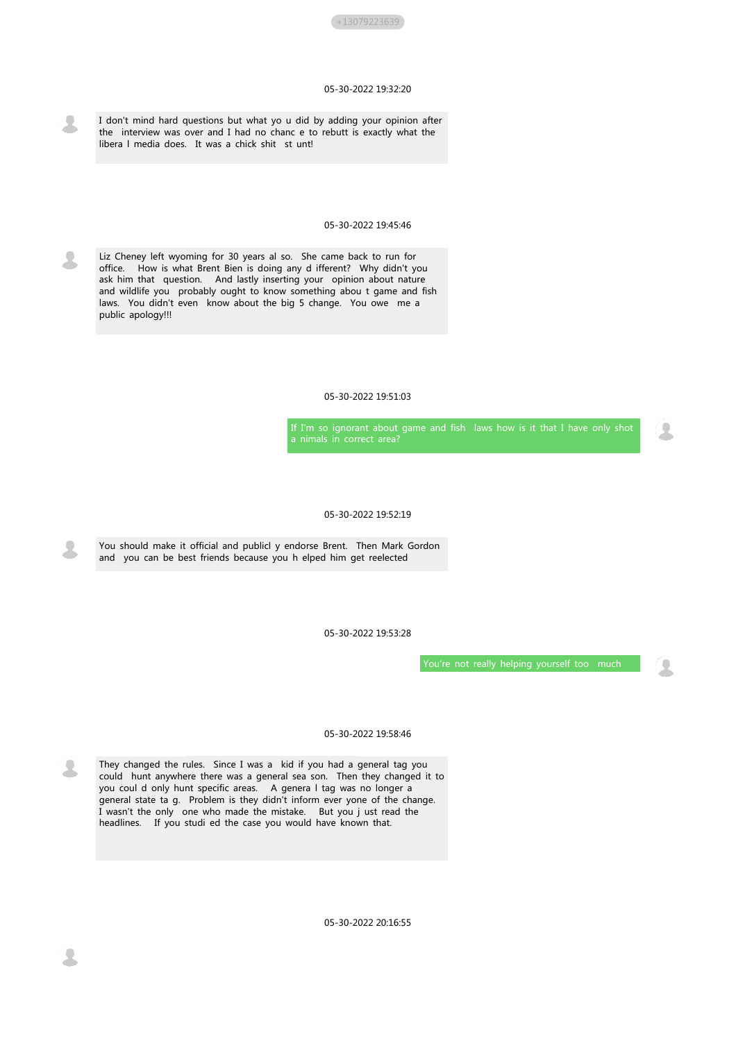

# 05-30-2022 19:32:20

I don't mind hard questions but what yo u did by adding your opinion after the interview was over and I had no chanc e to rebutt is exactly what the libera l media does. It was a chick shit st unt!

## 05-30-2022 19:45:46

Liz Cheney left wyoming for 30 years al so. She came back to run for office. How is what Brent Bien is doing any d ifferent? Why didn't you ask him that question. And lastly inserting your opinion about nature and wildlife you probably ought to know something abou t game and fish laws. You didn't even know about the big 5 change. You owe me a public apology!!!

## 05-30-2022 19:51:03

If I'm so ignorant about game and fish laws how is it that I have only shot a nimals in correct area?

#### 05-30-2022 19:52:19

You should make it official and publicl y endorse Brent. Then Mark Gordon and you can be best friends because you h elped him get reelected

05-30-2022 19:53:28



## 05-30-2022 19:58:46



They changed the rules. Since I was a kid if you had a general tag you could hunt anywhere there was a general sea son. Then they changed it to you coul d only hunt specific areas. A genera l tag was no longer a general state ta g. Problem is they didn't inform ever yone of the change. I wasn't the only one who made the mistake. But you j ust read the headlines. If you studi ed the case you would have known that.

05-30-2022 20:16:55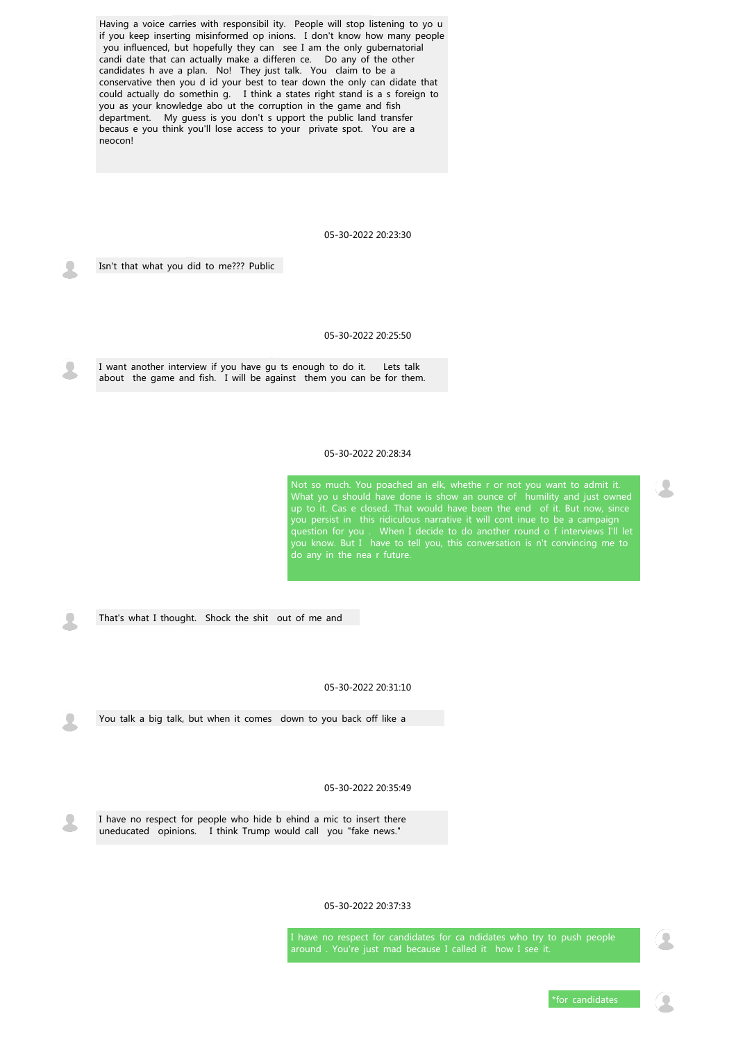Having a voice carries with responsibil ity. People will stop listening to yo u if you keep inserting misinformed op inions. I don't know how many people you influenced, but hopefully they can see I am the only gubernatorial candi date that can actually make a differen ce. Do any of the other candidates h ave a plan. No! They just talk. You claim to be a conservative then you d id your best to tear down the only can didate that could actually do somethin g. I think a states right stand is a s foreign to you as your knowledge abo ut the corruption in the game and fish department. My guess is you don't s upport the public land transfer becaus e you think you'll lose access to your private spot. You are a neocon!

05-30-2022 20:23:30

Isn't that what you did to me??? Public

## 05-30-2022 20:25:50

I want another interview if you have gu ts enough to do it. Lets talk about the game and fish. I will be against them you can be for them.

> I have no respect for candidates for ca ndidates who try to push people around . You're just mad because I called it how I see it.

#### 05-30-2022 20:28:34

Not so much. You poached an elk, whethe r or not you want to admit it. What yo u should have done is show an ounce of humility and just owned up to it. Cas e closed. That would have been the end of it. But now, since you persist in this ridiculous narrative it will cont inue to be a campaign question for you . When I decide to do another round o f interviews I'll let you know. But I have to tell you, this conversation is n't convincing me to do any in the nea r future.

05-30-2022 20:31:10

You talk a big talk, but when it comes down to you back off like a

05-30-2022 20:35:49



I have no respect for people who hide b ehind a mic to insert there uneducated opinions. I think Trump would call you "fake news."

05-30-2022 20:37:33

\*for candidates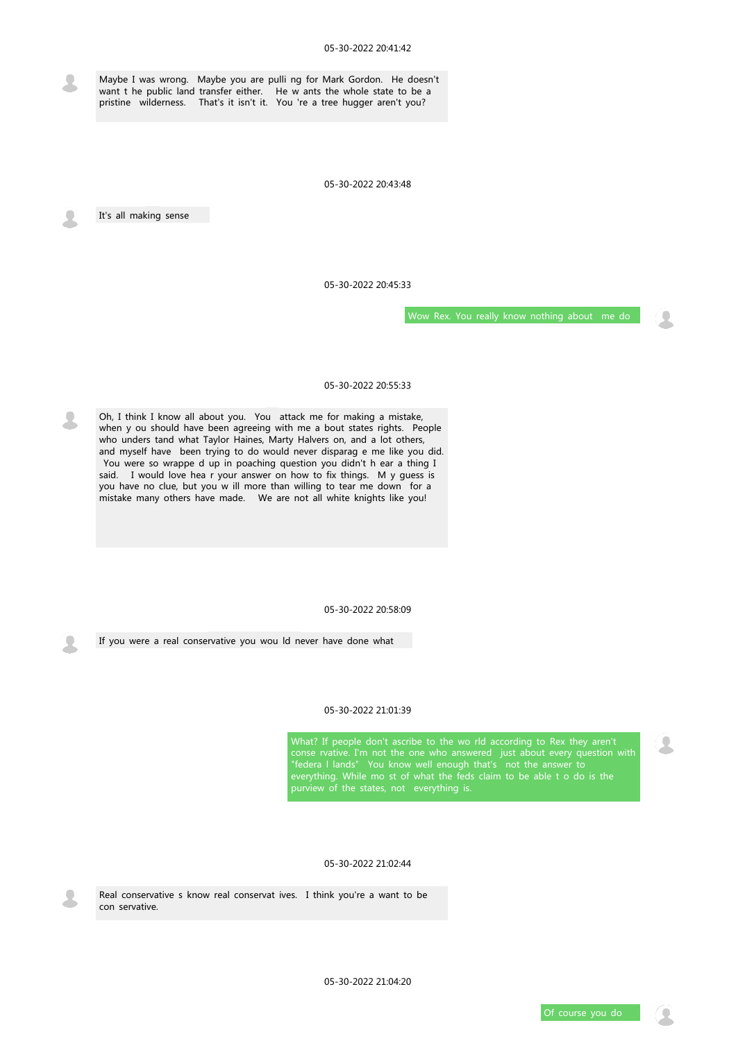Maybe I was wrong. Maybe you are pulli ng for Mark Gordon. He doesn't want t he public land transfer either. He w ants the whole state to be a pristine wilderness. That's it isn't it. You 're a tree hugger aren't you?

## 05-30-2022 20:43:48

It's all making sense

#### 05-30-2022 20:45:33

Wow Rex. You really know nothing about me do

## 05-30-2022 20:55:33

Oh, I think I know all about you. You attack me for making a mistake, when y ou should have been agreeing with me a bout states rights. People who unders tand what Taylor Haines, Marty Halvers on, and a lot others, and myself have been trying to do would never disparag e me like you did. You were so wrappe d up in poaching question you didn't h ear a thing I said. I would love hea r your answer on how to fix things. M y guess is you have no clue, but you w ill more than willing to tear me down for a mistake many others have made. We are not all white knights like you!

#### 05-30-2022 20:58:09

# 05-30-2022 21:01:39

What? If people don't ascribe to the wo rld according to Rex they aren't conse rvative. I'm not the one who answered just about every question with "federa I lands" You know well enough that's not the answer to everything. While mo st of what the feds claim to be able t o do is the purview of the states, not everything is.

05-30-2022 21:02:44

Real conservative s know real conservat ives. I think you're a want to be con servative.

05-30-2022 21:04:20

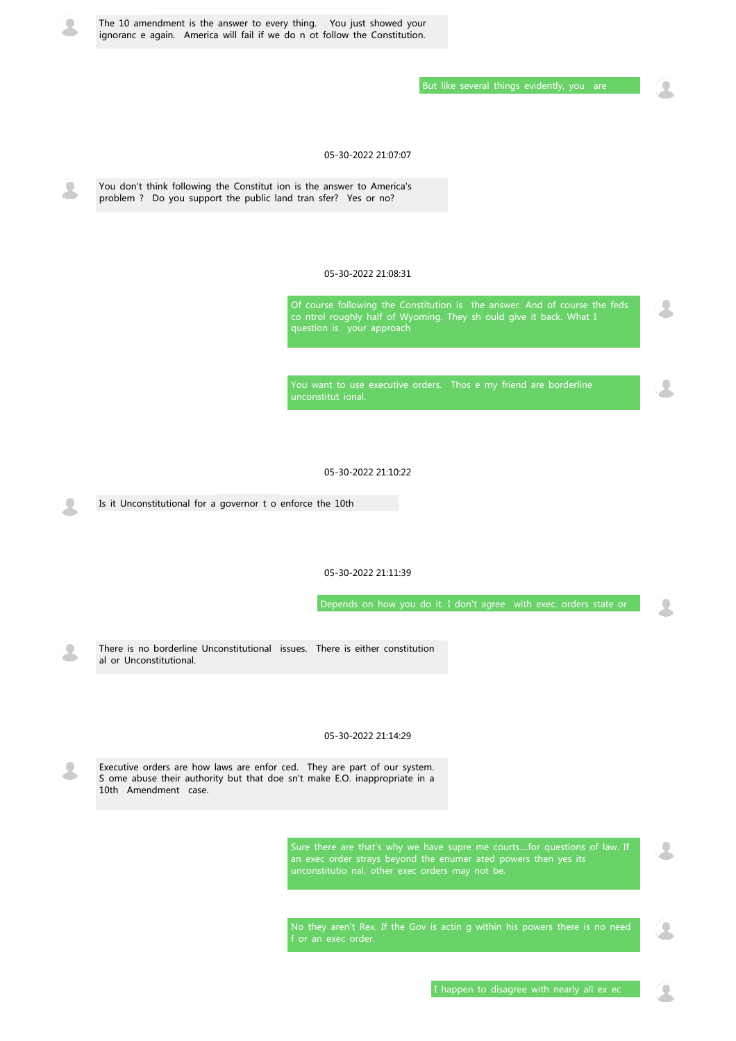

The 10 amendment is the answer to every thing. You just showed your ignoranc e again. America will fail if we do n ot follow the Constitution.

But like several things evidently, you are

# 05-30-2022 21:07:07

You don't think following the Constitut ion is the answer to America's problem ? Do you support the public land tran sfer? Yes or no?

## 05-30-2022 21:08:31

Of course following the Constitution is the answer. And of course the feds co ntrol roughly half of Wyoming. They sh ould give it back. What I question is your approach

You want to use executive orders. Thos e my friend are borderline unconstitut ional.

05-30-2022 21:10:22

Is it Unconstitutional for a governor t o enforce the 10th

05-30-2022 21:11:39

Depends on how you do it. I don't agree with exec. orders state or



#### 05-30-2022 21:14:29



Executive orders are how laws are enfor ced. They are part of our system. S ome abuse their authority but that doe sn't make E.O. inappropriate in a 10th Amendment case.

> Sure there are that's why we have supre me courts....for questions of law. If an exec order strays beyond the enumer ated powers then yes its unconstitutio nal, other exec orders may not be.

> No they aren't Rex. If the Gov is actin g within his powers there is no need f or an exec order.

> > I happen to disagree with nearly all ex ec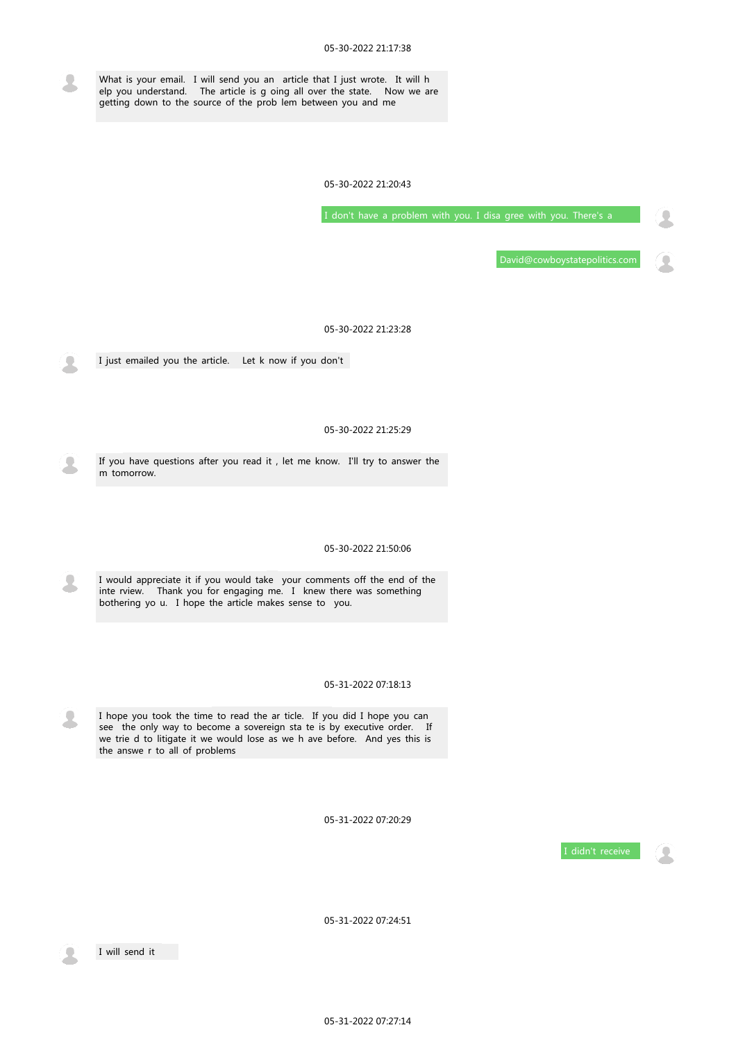What is your email. I will send you an article that I just wrote. It will h elp you understand. The article is g oing all over the state. Now we are getting down to the source of the prob lem between you and me

05-30-2022 21:20:43

I don't have a problem with you. I disa gree with you. There's a

David@cowboystatepolitics.com

05-30-2022 21:23:28

I just emailed you the article. Let k now if you don't

05-30-2022 21:25:29

If you have questions after you read it , let me know. I'll try to answer the m tomorrow.

05-30-2022 21:50:06

I would appreciate it if you would take your comments off the end of the inte rview. Thank you for engaging me. I knew there was something bothering yo u. I hope the article makes sense to you.

I hope you took the time to read the ar ticle. If you did I hope you can see the only way to become a sovereign sta te is by executive order. If we trie d to litigate it we would lose as we h ave before. And yes this is the answe r to all of problems

05-31-2022 07:20:29





05-31-2022 07:24:51



I will send it

05-31-2022 07:27:14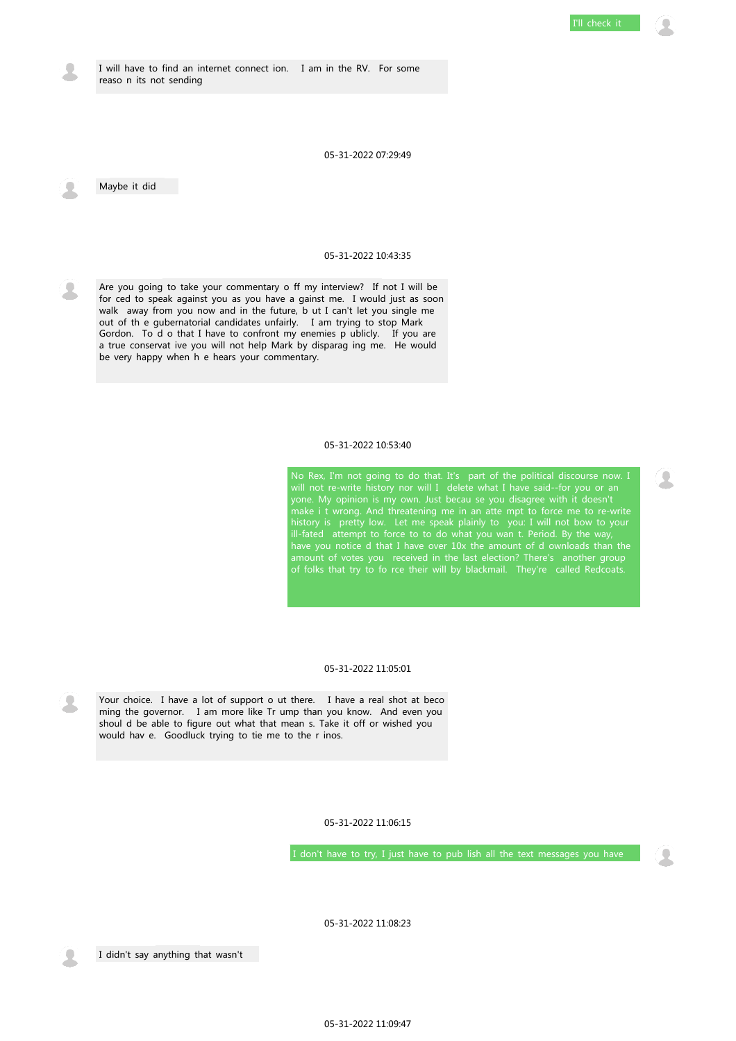I will have to find an internet connect ion. I am in the RV. For some reaso n its not sending

05-31-2022 07:29:49

Maybe it did

## 05-31-2022 10:43:35

Are you going to take your commentary o ff my interview? If not I will be for ced to speak against you as you have a gainst me. I would just as soon walk away from you now and in the future, b ut I can't let you single me out of th e gubernatorial candidates unfairly. I am trying to stop Mark Gordon. To d o that I have to confront my enemies p ublicly. If you are a true conservat ive you will not help Mark by disparag ing me. He would be very happy when h e hears your commentary.

#### 05-31-2022 10:53:40

No Rex, I'm not going to do that. It's part of the political discourse now. I will not re-write history nor will I delete what I have said--for you or an yone. My opinion is my own. Just becau se you disagree with it doesn't make i t wrong. And threatening me in an atte mpt to force me to re-write history is pretty low. Let me speak plainly to you: I will not bow to your ill-fated attempt to force to to do what you wan t. Period. By the way, have you notice d that I have over 10x the amount of d ownloads than the amount of votes you received in the last election? There's another group of folks that try to fo rce their will by blackmail. They're called Redcoats.



#### 05-31-2022 11:05:01

Your choice. I have a lot of support o ut there. I have a real shot at beco ming the governor. I am more like Tr ump than you know. And even you shoul d be able to figure out what that mean s. Take it off or wished you would hav e. Goodluck trying to tie me to the r inos.

05-31-2022 11:06:15

I don't have to try, I just have to pub lish all the text messages you have

05-31-2022 11:08:23

I didn't say anything that wasn't

05-31-2022 11:09:47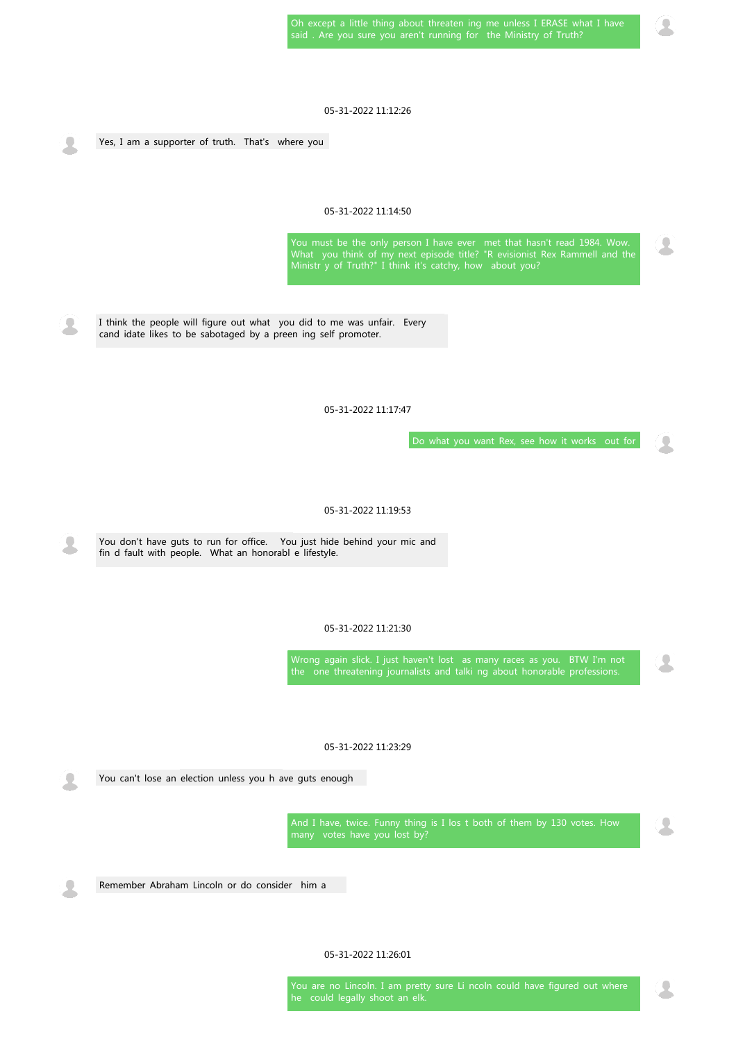## 05-31-2022 11:12:26

Yes, I am a supporter of truth. That's where you

## 05-31-2022 11:14:50

You must be the only person I have ever met that hasn't read 1984. Wow. What you think of my next episode title? "R evisionist Rex Rammell and the Ministr y of Truth?" I think it's catchy, how about you?

Wrong again slick. I just haven't lost as many races as you. BTW I'm not the one threatening journalists and talki ng about honorable professions.

I think the people will figure out what you did to me was unfair. Every cand idate likes to be sabotaged by a preen ing self promoter.

05-31-2022 11:17:47

Do what you want Rex, see how it works out for

#### 05-31-2022 11:19:53

You don't have guts to run for office. You just hide behind your mic and fin d fault with people. What an honorabl e lifestyle.

#### 05-31-2022 11:21:30

# 05-31-2022 11:23:29

You can't lose an election unless you h ave guts enough

And I have, twice. Funny thing is I los t both of them by 130 votes. How many votes have you lost by?



Remember Abraham Lincoln or do consider him a

05-31-2022 11:26:01

You are no Lincoln. I am pretty sure Li ncoln could have figured out where he could legally shoot an elk.